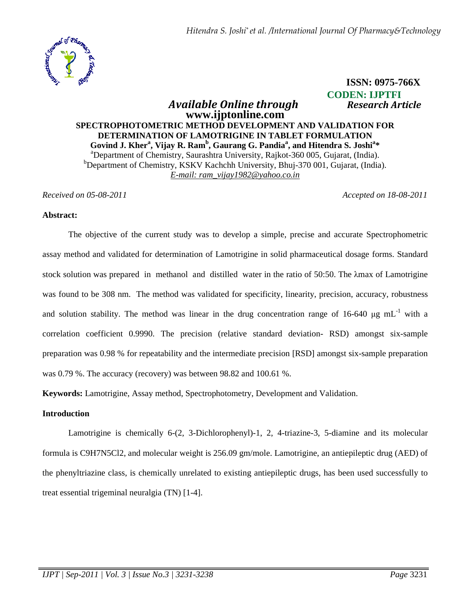

# **CODEN: IJPTFI**   *Available Online through Research Article*  **www.ijptonline.com SPECTROPHOTOMETRIC METHOD DEVELOPMENT AND VALIDATION FOR DETERMINATION OF LAMOTRIGINE IN TABLET FORMULATION Govind J. Kher<sup>a</sup> , Vijay R. Ram<sup>b</sup> , Gaurang G. Pandia<sup>a</sup> , and Hitendra S. Joshi<sup>a</sup> \***  <sup>a</sup>Department of Chemistry, Saurashtra University, Rajkot-360 005, Gujarat, (India).  $b$ Department of Chemistry, KSKV Kachchh University, Bhuj-370 001, Gujarat, (India). *E-mail: ram\_vijay1982@yahoo.co.in*

*Received on 05-08-2011 Accepted on 18-08-2011*

 **ISSN: 0975-766X**

#### **Abstract:**

The objective of the current study was to develop a simple, precise and accurate Spectrophometric assay method and validated for determination of Lamotrigine in solid pharmaceutical dosage forms. Standard stock solution was prepared in methanol and distilled water in the ratio of 50:50. The λmax of Lamotrigine was found to be 308 nm. The method was validated for specificity, linearity, precision, accuracy, robustness and solution stability. The method was linear in the drug concentration range of 16-640  $\mu$ g mL<sup>-1</sup> with a correlation coefficient 0.9990. The precision (relative standard deviation- RSD) amongst six-sample preparation was 0.98 % for repeatability and the intermediate precision [RSD] amongst six-sample preparation was 0.79 %. The accuracy (recovery) was between 98.82 and 100.61 %.

**Keywords:** Lamotrigine, Assay method, Spectrophotometry, Development and Validation.

### **Introduction**

Lamotrigine is chemically 6-(2, 3-Dichlorophenyl)-1, 2, 4-triazine-3, 5-diamine and its molecular formula is C9H7N5Cl2, and molecular weight is 256.09 gm/mole. Lamotrigine, an antiepileptic drug (AED) of the phenyltriazine class, is chemically unrelated to existing antiepileptic drugs, has been used successfully to treat essential trigeminal neuralgia (TN) [1-4].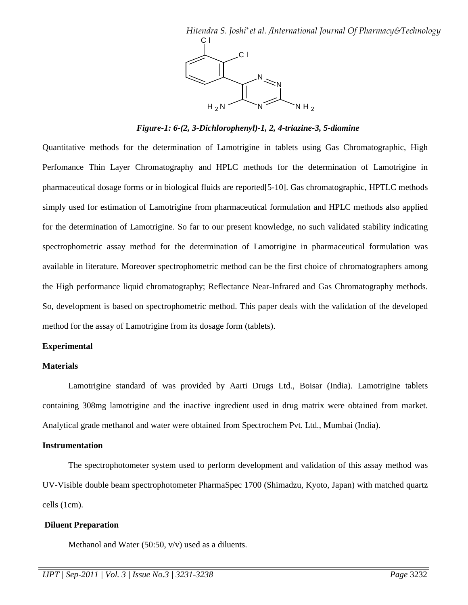

*Figure-1: 6-(2, 3-Dichlorophenyl)-1, 2, 4-triazine-3, 5-diamine* 

Quantitative methods for the determination of Lamotrigine in tablets using Gas Chromatographic, High Perfomance Thin Layer Chromatography and HPLC methods for the determination of Lamotrigine in pharmaceutical dosage forms or in biological fluids are reported[5-10]. Gas chromatographic, HPTLC methods simply used for estimation of Lamotrigine from pharmaceutical formulation and HPLC methods also applied for the determination of Lamotrigine. So far to our present knowledge, no such validated stability indicating spectrophometric assay method for the determination of Lamotrigine in pharmaceutical formulation was available in literature. Moreover spectrophometric method can be the first choice of chromatographers among the High performance liquid chromatography; Reflectance Near-Infrared and Gas Chromatography methods. So, development is based on spectrophometric method. This paper deals with the validation of the developed method for the assay of Lamotrigine from its dosage form (tablets).

### **Experimental**

#### **Materials**

 Lamotrigine standard of was provided by Aarti Drugs Ltd., Boisar (India). Lamotrigine tablets containing 308mg lamotrigine and the inactive ingredient used in drug matrix were obtained from market. Analytical grade methanol and water were obtained from Spectrochem Pvt. Ltd., Mumbai (India).

### **Instrumentation**

The spectrophotometer system used to perform development and validation of this assay method was UV-Visible double beam spectrophotometer PharmaSpec 1700 (Shimadzu, Kyoto, Japan) with matched quartz cells (1cm).

# **Diluent Preparation**

Methanol and Water (50:50,  $v/v$ ) used as a diluents.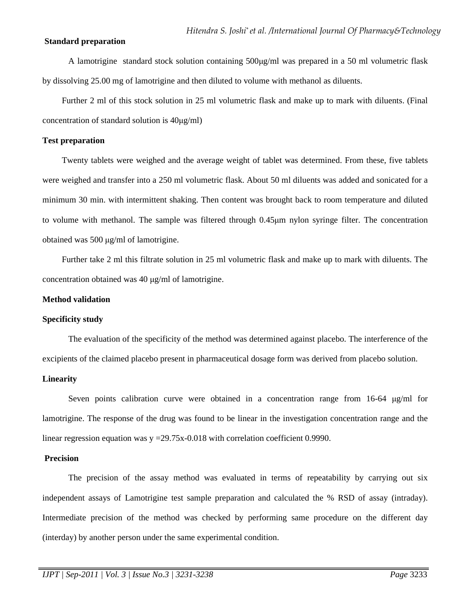# **Standard preparation**

 A lamotrigine standard stock solution containing 500µg/ml was prepared in a 50 ml volumetric flask by dissolving 25.00 mg of lamotrigine and then diluted to volume with methanol as diluents.

Further 2 ml of this stock solution in 25 ml volumetric flask and make up to mark with diluents. (Final concentration of standard solution is 40µg/ml)

# **Test preparation**

Twenty tablets were weighed and the average weight of tablet was determined. From these, five tablets were weighed and transfer into a 250 ml volumetric flask. About 50 ml diluents was added and sonicated for a minimum 30 min. with intermittent shaking. Then content was brought back to room temperature and diluted to volume with methanol. The sample was filtered through 0.45µm nylon syringe filter. The concentration obtained was 500 µg/ml of lamotrigine.

Further take 2 ml this filtrate solution in 25 ml volumetric flask and make up to mark with diluents. The concentration obtained was 40 µg/ml of lamotrigine.

### **Method validation**

### **Specificity study**

The evaluation of the specificity of the method was determined against placebo. The interference of the excipients of the claimed placebo present in pharmaceutical dosage form was derived from placebo solution.

### **Linearity**

Seven points calibration curve were obtained in a concentration range from  $16-64 \mu g/ml$  for lamotrigine. The response of the drug was found to be linear in the investigation concentration range and the linear regression equation was  $y = 29.75x-0.018$  with correlation coefficient 0.9990.

#### **Precision**

 The precision of the assay method was evaluated in terms of repeatability by carrying out six independent assays of Lamotrigine test sample preparation and calculated the % RSD of assay (intraday). Intermediate precision of the method was checked by performing same procedure on the different day (interday) by another person under the same experimental condition.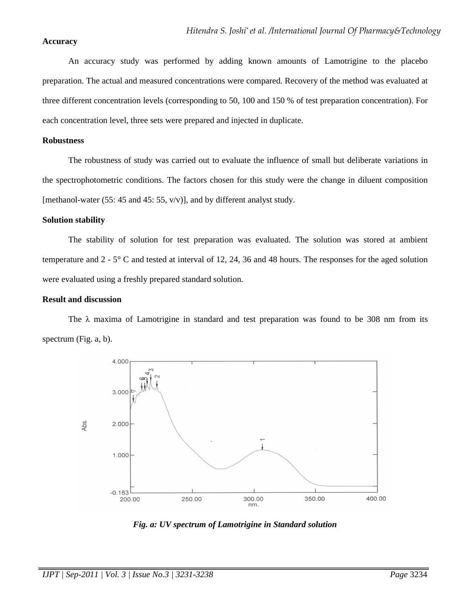# **Accuracy**

An accuracy study was performed by adding known amounts of Lamotrigine to the placebo preparation. The actual and measured concentrations were compared. Recovery of the method was evaluated at three different concentration levels (corresponding to 50, 100 and 150 % of test preparation concentration). For each concentration level, three sets were prepared and injected in duplicate.

### **Robustness**

The robustness of study was carried out to evaluate the influence of small but deliberate variations in the spectrophotometric conditions. The factors chosen for this study were the change in diluent composition [methanol-water (55: 45 and 45: 55,  $v/v$ )], and by different analyst study.

# **Solution stability**

The stability of solution for test preparation was evaluated. The solution was stored at ambient temperature and 2 - 5° C and tested at interval of 12, 24, 36 and 48 hours. The responses for the aged solution were evaluated using a freshly prepared standard solution.

# **Result and discussion**

The  $\lambda$  maxima of Lamotrigine in standard and test preparation was found to be 308 nm from its spectrum (Fig. a, b).



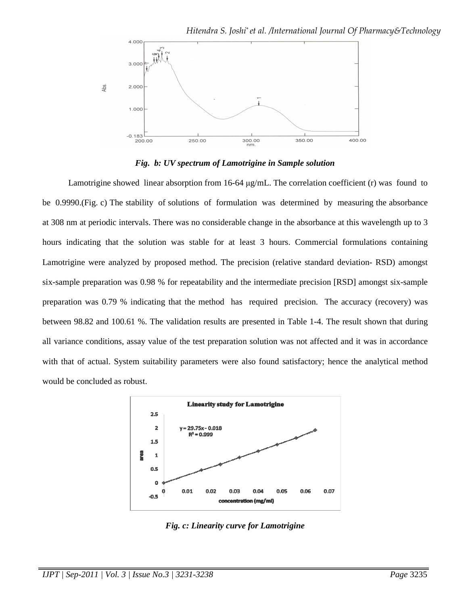

*Fig. b: UV spectrum of Lamotrigine in Sample solution* 

Lamotrigine showed linear absorption from 16-64  $\mu$ g/mL. The correlation coefficient (r) was found to be 0.9990.(Fig. c) The stability of solutions of formulation was determined by measuring the absorbance at 308 nm at periodic intervals. There was no considerable change in the absorbance at this wavelength up to 3 hours indicating that the solution was stable for at least 3 hours. Commercial formulations containing Lamotrigine were analyzed by proposed method. The precision (relative standard deviation- RSD) amongst six-sample preparation was 0.98 % for repeatability and the intermediate precision [RSD] amongst six-sample preparation was 0.79 % indicating that the method has required precision. The accuracy (recovery) was between 98.82 and 100.61 %. The validation results are presented in Table 1-4. The result shown that during all variance conditions, assay value of the test preparation solution was not affected and it was in accordance with that of actual. System suitability parameters were also found satisfactory; hence the analytical method would be concluded as robust.



*Fig. c: Linearity curve for Lamotrigine*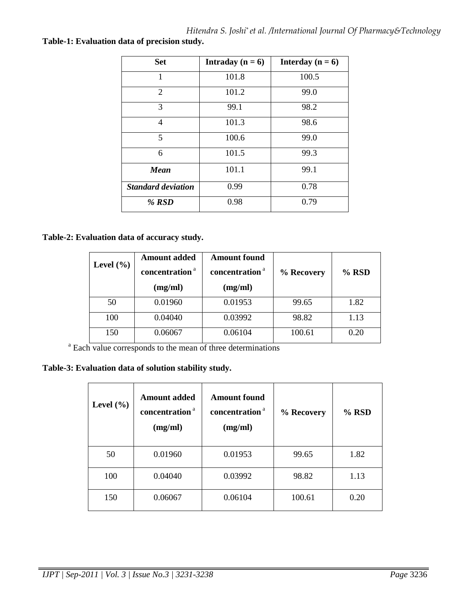| <b>Set</b>                | Intraday ( $n = 6$ ) | Interday ( $n = 6$ ) |
|---------------------------|----------------------|----------------------|
| 1                         | 101.8                | 100.5                |
| $\overline{2}$            | 101.2                | 99.0                 |
| 3                         | 99.1                 | 98.2                 |
| 4                         | 101.3                | 98.6                 |
| 5                         | 100.6                | 99.0                 |
| 6                         | 101.5                | 99.3                 |
| Mean                      | 101.1                | 99.1                 |
| <b>Standard deviation</b> | 0.99                 | 0.78                 |
| % $RSD$                   | 0.98                 | 0.79                 |

**Table-1: Evaluation data of precision study.** 

# **Table-2: Evaluation data of accuracy study.**

| Level $(\% )$ | <b>Amount added</b><br>concentration <sup>a</sup> | <b>Amount found</b><br>concentration <sup>a</sup> | % Recovery | $%$ RSD |
|---------------|---------------------------------------------------|---------------------------------------------------|------------|---------|
|               | (mg/ml)                                           | (mg/ml)                                           |            |         |
| 50            | 0.01960                                           | 0.01953                                           | 99.65      | 1.82    |
| 100           | 0.04040                                           | 0.03992                                           | 98.82      | 1.13    |
| 150           | 0.06067                                           | 0.06104                                           | 100.61     | 0.20    |

<sup>a</sup> Each value corresponds to the mean of three determinations

**Table-3: Evaluation data of solution stability study.** 

| Level $(\% )$ | <b>Amount added</b><br>concentration <sup>a</sup><br>(mg/ml) | <b>Amount found</b><br>concentration <sup>a</sup><br>(mg/ml) | % Recovery | % RSD |
|---------------|--------------------------------------------------------------|--------------------------------------------------------------|------------|-------|
| 50            | 0.01960                                                      | 0.01953                                                      | 99.65      | 1.82  |
| 100           | 0.04040                                                      | 0.03992                                                      | 98.82      | 1.13  |
| 150           | 0.06067                                                      | 0.06104                                                      | 100.61     | 0.20  |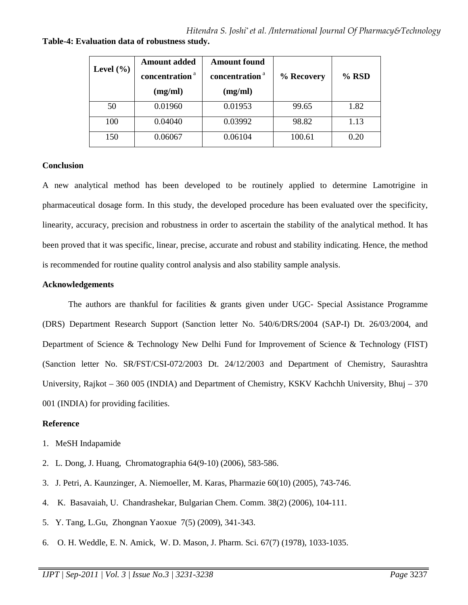| Level $(\% )$ | <b>Amount added</b><br>concentration <sup>a</sup><br>(mg/ml) | <b>Amount found</b><br>concentration <sup>a</sup><br>(mg/ml) | % Recovery | $%$ RSD |
|---------------|--------------------------------------------------------------|--------------------------------------------------------------|------------|---------|
| 50            | 0.01960                                                      | 0.01953                                                      | 99.65      | 1.82    |
| 100           | 0.04040                                                      | 0.03992                                                      | 98.82      | 1.13    |
| 150           | 0.06067                                                      | 0.06104                                                      | 100.61     | 0.20    |

**Table-4: Evaluation data of robustness study.** 

# **Conclusion**

A new analytical method has been developed to be routinely applied to determine Lamotrigine in pharmaceutical dosage form. In this study, the developed procedure has been evaluated over the specificity, linearity, accuracy, precision and robustness in order to ascertain the stability of the analytical method. It has been proved that it was specific, linear, precise, accurate and robust and stability indicating. Hence, the method is recommended for routine quality control analysis and also stability sample analysis.

# **Acknowledgements**

The authors are thankful for facilities & grants given under UGC- Special Assistance Programme (DRS) Department Research Support (Sanction letter No. 540/6/DRS/2004 (SAP-I) Dt. 26/03/2004, and Department of Science & Technology New Delhi Fund for Improvement of Science & Technology (FIST) (Sanction letter No. SR/FST/CSI-072/2003 Dt. 24/12/2003 and Department of Chemistry, Saurashtra University, Rajkot – 360 005 (INDIA) and Department of Chemistry, KSKV Kachchh University, Bhuj – 370 001 (INDIA) for providing facilities.

# **Reference**

- 1. MeSH Indapamide
- 2. L. Dong, J. Huang, Chromatographia 64(9-10) (2006), 583-586.
- 3. J. Petri, A. Kaunzinger, A. Niemoeller, M. Karas, Pharmazie 60(10) (2005), 743-746.
- 4. K. Basavaiah, U. Chandrashekar, Bulgarian Chem. Comm. 38(2) (2006), 104-111.
- 5. Y. Tang, L.Gu, Zhongnan Yaoxue 7(5) (2009), 341-343.
- 6. O. H. Weddle, E. N. Amick, W. D. Mason, J. Pharm. Sci. 67(7) (1978), 1033-1035.